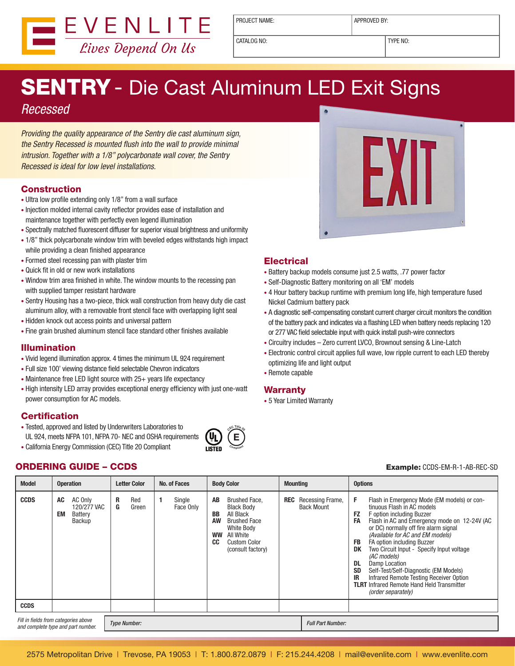

PROJECT NAME: <br> APPROVED BY:

CATALOG NO: TYPE NO:

# SENTRY - Die Cast Aluminum LED Exit Signs

### *Recessed*

*Providing the quality appearance of the Sentry die cast aluminum sign, the Sentry Recessed is mounted flush into the wall to provide minimal intrusion. Together with a 1/8" polycarbonate wall cover, the Sentry Recessed is ideal for low level installations.*

#### Construction

- Ultra low profile extending only 1/8" from a wall surface
- Injection molded internal cavity reflector provides ease of installation and maintenance together with perfectly even legend illumination
- Spectrally matched fluorescent diffuser for superior visual brightness and uniformity
- 1/8" thick polycarbonate window trim with beveled edges withstands high impact while providing a clean finished appearance
- Formed steel recessing pan with plaster trim
- Quick fit in old or new work installations
- Window trim area finished in white. The window mounts to the recessing pan with supplied tamper resistant hardware
- Sentry Housing has a two-piece, thick wall construction from heavy duty die cast aluminum alloy, with a removable front stencil face with overlapping light seal
- Hidden knock out access points and universal pattern
- Fine grain brushed aluminum stencil face standard other finishes available

#### Illumination

- Vivid legend illumination approx. 4 times the minimum UL 924 requirement
- Full size 100' viewing distance field selectable Chevron indicators
- Maintenance free LED light source with 25+ years life expectancy
- High intensity LED array provides exceptional energy efficiency with just one-watt power consumption for AC models.

#### **Certification**

- Tested, approved and listed by Underwriters Laboratories to UL 924, meets NFPA 101, NFPA 70- NEC and OSHA requirements
- California Energy Commission (CEC) Title 20 Compliant





#### **Electrical**

- Battery backup models consume just 2.5 watts, .77 power factor
- Self-Diagnostic Battery monitoring on all 'EM' models
- 4 Hour battery backup runtime with premium long life, high temperature fused Nickel Cadmium battery pack
- A diagnostic self-compensating constant current charger circuit monitors the condition of the battery pack and indicates via a flashing LED when battery needs replacing 120 or 277 VAC field selectable input with quick install push-wire connectors
- Circuitry includes Zero current LVCO, Brownout sensing & Line-Latch
- Electronic control circuit applies full wave, low ripple current to each LED thereby optimizing life and light output
- Remote capable

#### Warranty

• 5 Year Limited Warranty

| <b>Model</b>                                                               | <b>Operation</b>                                        | No. of Faces<br><b>Letter Color</b>           | <b>Body Color</b><br><b>Mounting</b>                                                                                                                                                      |                                       | <b>Options</b>                                                                                                                                                                                                                                                                                                                                                                                                                                                                                                                                                             |
|----------------------------------------------------------------------------|---------------------------------------------------------|-----------------------------------------------|-------------------------------------------------------------------------------------------------------------------------------------------------------------------------------------------|---------------------------------------|----------------------------------------------------------------------------------------------------------------------------------------------------------------------------------------------------------------------------------------------------------------------------------------------------------------------------------------------------------------------------------------------------------------------------------------------------------------------------------------------------------------------------------------------------------------------------|
| <b>CCDS</b>                                                                | AC<br>AC Only<br>120/277 VAC<br>EM<br>Battery<br>Backup | R<br>Red<br>Single<br>G<br>Green<br>Face Only | AB<br>REC<br>Brushed Face,<br><b>Black Body</b><br>All Black<br>BB<br>AW<br><b>Brushed Face</b><br>White Body<br>All White<br><b>WW</b><br>CC<br><b>Custom Color</b><br>(consult factory) | Recessing Frame,<br><b>Back Mount</b> | F<br>Flash in Emergency Mode (EM models) or con-<br>tinuous Flash in AC models<br><b>FZ</b><br>F option including Buzzer<br>Flash in AC and Emergency mode on 12-24V (AC<br>FA<br>or DC) normally off fire alarm signal<br>(Available for AC and EM models)<br>FA option including Buzzer<br>FB<br>Two Circuit Input - Specify Input voltage<br>DK<br>(AC models)<br>DL<br>Damp Location<br><b>SD</b><br>Self-Test/Self-Diagnostic (EM Models)<br>Infrared Remote Testing Receiver Option<br>IR<br><b>TLRT</b> Infrared Remote Hand Held Transmitter<br>(order separately) |
| <b>CCDS</b>                                                                |                                                         |                                               |                                                                                                                                                                                           |                                       |                                                                                                                                                                                                                                                                                                                                                                                                                                                                                                                                                                            |
| Fill in fields from categories above<br>and complete type and part number. |                                                         | <b>Type Number:</b>                           |                                                                                                                                                                                           | <b>Full Part Number:</b>              |                                                                                                                                                                                                                                                                                                                                                                                                                                                                                                                                                                            |

**E <sup>C</sup>E<sup>C</sup> <sup>T</sup>itl<sup>e</sup> <sup>2</sup><sup>0</sup>**

**<sup>C</sup>omplian<sup>t</sup>**